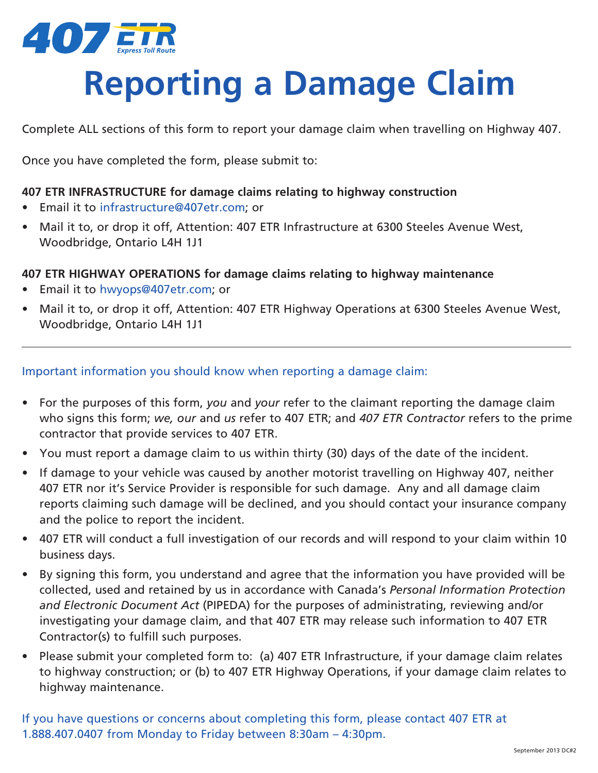

## **Reporting a Damage Claim**

Complete ALL sections of this form to report your damage claim when travelling on Highway 407.

Once you have completed the form, please submit to:

### **407 ETR INFRASTRUCTURE for damage claims relating to highway construction**

- Email it to infrastructure@407etr.com; or
- Mail it to, or drop it off, Attention: 407 ETR Infrastructure at 6300 Steeles Avenue West, Woodbridge, Ontario L4H 1J1

### **407 ETR HIGHWAY OPERATIONS for damage claims relating to highway maintenance**

- Email it to hwyops@407etr.com; or
- Mail it to, or drop it off, Attention: 407 ETR Highway Operations at 6300 Steeles Avenue West, Woodbridge, Ontario L4H 1J1

### Important information you should know when reporting a damage claim:

- For the purposes of this form, *you* and *your* refer to the claimant reporting the damage claim who signs this form; *we, our* and *us* refer to 407 ETR; and *407 ETR Contractor* refers to the prime contractor that provide services to 407 ETR.
- You must report a damage claim to us within thirty (30) days of the date of the incident.
- If damage to your vehicle was caused by another motorist travelling on Highway 407, neither 407 ETR nor it's Service Provider is responsible for such damage. Any and all damage claim reports claiming such damage will be declined, and you should contact your insurance company and the police to report the incident.
- 407 ETR will conduct a full investigation of our records and will respond to your claim within 10 business days.
- By signing this form, you understand and agree that the information you have provided will be collected, used and retained by us in accordance with Canada's *Personal Information Protection and Electronic Document Act* (PIPEDA) for the purposes of administrating, reviewing and/or investigating your damage claim, and that 407 ETR may release such information to 407 ETR Contractor(s) to fulfill such purposes.
- Please submit your completed form to: (a) 407 ETR Infrastructure, if your damage claim relates to highway construction; or (b) to 407 ETR Highway Operations, if your damage claim relates to highway maintenance.

If you have questions or concerns about completing this form, please contact 407 ETR at 1.888.407.0407 from Monday to Friday between 8:30am – 4:30pm.